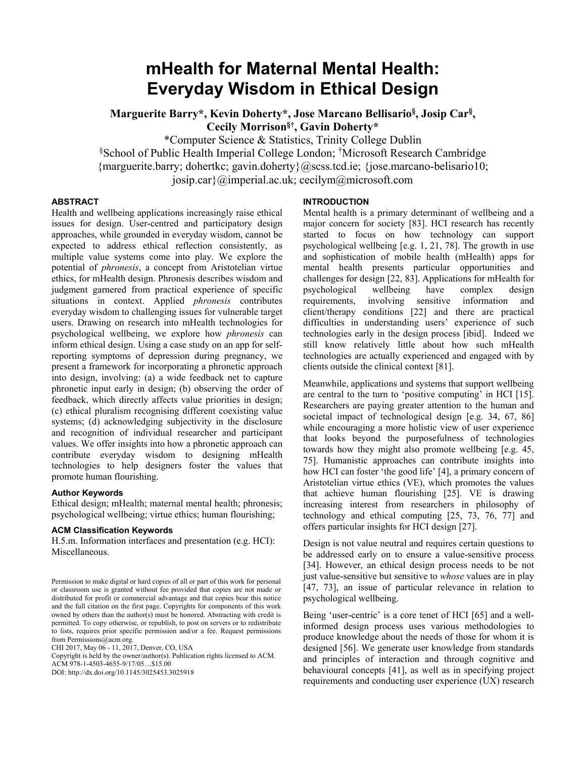# **mHealth for Maternal Mental Health: Everyday Wisdom in Ethical Design**

**Marguerite Barry\*, Kevin Doherty\*, Jose Marcano Bellisario§, Josip Car§ , Cecily Morrison§†, Gavin Doherty\*** 

\*Computer Science & Statistics, Trinity College Dublin § School of Public Health Imperial College London; † Microsoft Research Cambridge  ${m}$ guerite.barry; dohertkc; gavin.doherty ${Q}$ scss.tcd.ie;  ${j}$ ose.marcano-belisario10; josip.car}@imperial.ac.uk; cecilym@microsoft.com

#### **ABSTRACT**

Health and wellbeing applications increasingly raise ethical issues for design. User-centred and participatory design approaches, while grounded in everyday wisdom, cannot be expected to address ethical reflection consistently, as multiple value systems come into play. We explore the potential of *phronesis*, a concept from Aristotelian virtue ethics, for mHealth design. Phronesis describes wisdom and judgment garnered from practical experience of specific situations in context. Applied *phronesis* contributes everyday wisdom to challenging issues for vulnerable target users. Drawing on research into mHealth technologies for psychological wellbeing, we explore how *phronesis* can inform ethical design. Using a case study on an app for selfreporting symptoms of depression during pregnancy, we present a framework for incorporating a phronetic approach into design, involving: (a) a wide feedback net to capture phronetic input early in design; (b) observing the order of feedback, which directly affects value priorities in design; (c) ethical pluralism recognising different coexisting value systems; (d) acknowledging subjectivity in the disclosure and recognition of individual researcher and participant values. We offer insights into how a phronetic approach can contribute everyday wisdom to designing mHealth technologies to help designers foster the values that promote human flourishing.

#### **Author Keywords**

Ethical design; mHealth; maternal mental health; phronesis; psychological wellbeing; virtue ethics; human flourishing;

#### **ACM Classification Keywords**

H.5.m. Information interfaces and presentation (e.g. HCI): Miscellaneous.

CHI 2017, May 06 - 11, 2017, Denver, CO, USA

Copyright is held by the owner/author(s). Publication rights licensed to ACM.

ACM 978-1-4503-4655-9/17/05…\$15.00

DOI: http://dx.doi.org/10.1145/3025453.3025918

#### **INTRODUCTION**

Mental health is a primary determinant of wellbeing and a major concern for society [83]. HCI research has recently started to focus on how technology can support psychological wellbeing [e.g. 1, 21, 78]. The growth in use and sophistication of mobile health (mHealth) apps for mental health presents particular opportunities and challenges for design [22, 83]. Applications for mHealth for psychological wellbeing have complex design requirements, involving sensitive information and client/therapy conditions [22] and there are practical difficulties in understanding users' experience of such technologies early in the design process [ibid]. Indeed we still know relatively little about how such mHealth technologies are actually experienced and engaged with by clients outside the clinical context [81].

Meanwhile, applications and systems that support wellbeing are central to the turn to 'positive computing' in HCI [15]. Researchers are paying greater attention to the human and societal impact of technological design [e.g. 34, 67, 86] while encouraging a more holistic view of user experience that looks beyond the purposefulness of technologies towards how they might also promote wellbeing [e.g. 45, 75]. Humanistic approaches can contribute insights into how HCI can foster 'the good life' [4], a primary concern of Aristotelian virtue ethics (VE), which promotes the values that achieve human flourishing [25]. VE is drawing increasing interest from researchers in philosophy of technology and ethical computing [25, 73, 76, 77] and offers particular insights for HCI design [27].

Design is not value neutral and requires certain questions to be addressed early on to ensure a value-sensitive process [34]. However, an ethical design process needs to be not just value-sensitive but sensitive to *whose* values are in play [47, 73], an issue of particular relevance in relation to psychological wellbeing.

Being 'user-centric' is a core tenet of HCI [65] and a wellinformed design process uses various methodologies to produce knowledge about the needs of those for whom it is designed [56]. We generate user knowledge from standards and principles of interaction and through cognitive and behavioural concepts [41], as well as in specifying project requirements and conducting user experience (UX) research

Permission to make digital or hard copies of all or part of this work for personal or classroom use is granted without fee provided that copies are not made or distributed for profit or commercial advantage and that copies bear this notice and the full citation on the first page. Copyrights for components of this work owned by others than the author(s) must be honored. Abstracting with credit is permitted. To copy otherwise, or republish, to post on servers or to redistribute to lists, requires prior specific permission and/or a fee. Request permissions from Permissions@acm.org.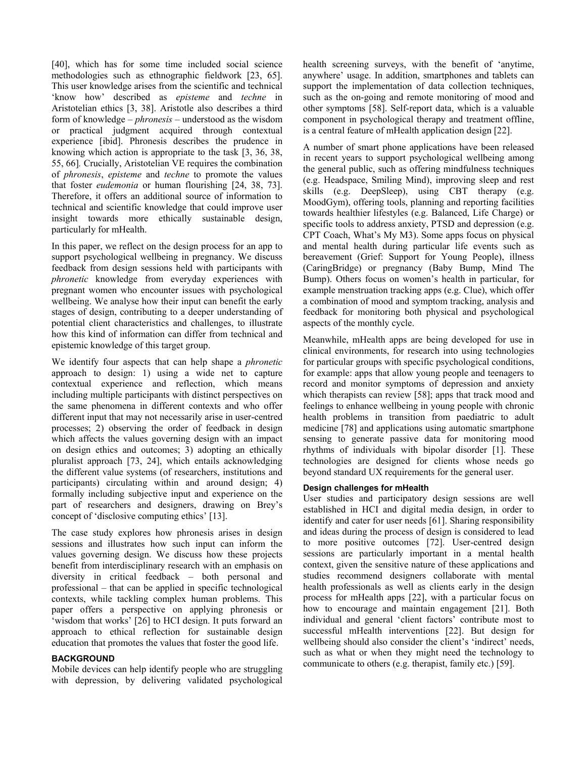[40], which has for some time included social science methodologies such as ethnographic fieldwork [23, 65]. This user knowledge arises from the scientific and technical 'know how' described as *episteme* and *techne* in Aristotelian ethics [3, 38]. Aristotle also describes a third form of knowledge – *phronesis –* understood as the wisdom or practical judgment acquired through contextual experience [ibid]. Phronesis describes the prudence in knowing which action is appropriate to the task [3, 36, 38, 55, 66]*.* Crucially, Aristotelian VE requires the combination of *phronesis*, *episteme* and *techne* to promote the values that foster *eudemonia* or human flourishing [24, 38, 73]. Therefore, it offers an additional source of information to technical and scientific knowledge that could improve user insight towards more ethically sustainable design, particularly for mHealth.

In this paper, we reflect on the design process for an app to support psychological wellbeing in pregnancy. We discuss feedback from design sessions held with participants with *phronetic* knowledge from everyday experiences with pregnant women who encounter issues with psychological wellbeing. We analyse how their input can benefit the early stages of design, contributing to a deeper understanding of potential client characteristics and challenges, to illustrate how this kind of information can differ from technical and epistemic knowledge of this target group.

We identify four aspects that can help shape a *phronetic* approach to design: 1) using a wide net to capture contextual experience and reflection, which means including multiple participants with distinct perspectives on the same phenomena in different contexts and who offer different input that may not necessarily arise in user-centred processes; 2) observing the order of feedback in design which affects the values governing design with an impact on design ethics and outcomes; 3) adopting an ethically pluralist approach [73, 24], which entails acknowledging the different value systems (of researchers, institutions and participants) circulating within and around design; 4) formally including subjective input and experience on the part of researchers and designers, drawing on Brey's concept of 'disclosive computing ethics' [13].

The case study explores how phronesis arises in design sessions and illustrates how such input can inform the values governing design. We discuss how these projects benefit from interdisciplinary research with an emphasis on diversity in critical feedback – both personal and professional – that can be applied in specific technological contexts, while tackling complex human problems. This paper offers a perspective on applying phronesis or 'wisdom that works' [26] to HCI design. It puts forward an approach to ethical reflection for sustainable design education that promotes the values that foster the good life.

## **BACKGROUND**

Mobile devices can help identify people who are struggling with depression, by delivering validated psychological health screening surveys, with the benefit of 'anytime, anywhere' usage. In addition, smartphones and tablets can support the implementation of data collection techniques, such as the on-going and remote monitoring of mood and other symptoms [58]. Self-report data, which is a valuable component in psychological therapy and treatment offline, is a central feature of mHealth application design [22].

A number of smart phone applications have been released in recent years to support psychological wellbeing among the general public, such as offering mindfulness techniques (e.g. Headspace, Smiling Mind), improving sleep and rest skills (e.g. DeepSleep), using CBT therapy (e.g. MoodGym), offering tools, planning and reporting facilities towards healthier lifestyles (e.g. Balanced, Life Charge) or specific tools to address anxiety, PTSD and depression (e.g. CPT Coach, What's My M3). Some apps focus on physical and mental health during particular life events such as bereavement (Grief: Support for Young People), illness (CaringBridge) or pregnancy (Baby Bump, Mind The Bump). Others focus on women's health in particular, for example menstruation tracking apps (e.g. Clue), which offer a combination of mood and symptom tracking, analysis and feedback for monitoring both physical and psychological aspects of the monthly cycle.

Meanwhile, mHealth apps are being developed for use in clinical environments, for research into using technologies for particular groups with specific psychological conditions, for example: apps that allow young people and teenagers to record and monitor symptoms of depression and anxiety which therapists can review [58]; apps that track mood and feelings to enhance wellbeing in young people with chronic health problems in transition from paediatric to adult medicine [78] and applications using automatic smartphone sensing to generate passive data for monitoring mood rhythms of individuals with bipolar disorder [1]. These technologies are designed for clients whose needs go beyond standard UX requirements for the general user.

## **Design challenges for mHealth**

User studies and participatory design sessions are well established in HCI and digital media design, in order to identify and cater for user needs [61]. Sharing responsibility and ideas during the process of design is considered to lead to more positive outcomes [72]. User-centred design sessions are particularly important in a mental health context, given the sensitive nature of these applications and studies recommend designers collaborate with mental health professionals as well as clients early in the design process for mHealth apps [22], with a particular focus on how to encourage and maintain engagement [21]. Both individual and general 'client factors' contribute most to successful mHealth interventions [22]. But design for wellbeing should also consider the client's 'indirect' needs, such as what or when they might need the technology to communicate to others (e.g. therapist, family etc.) [59].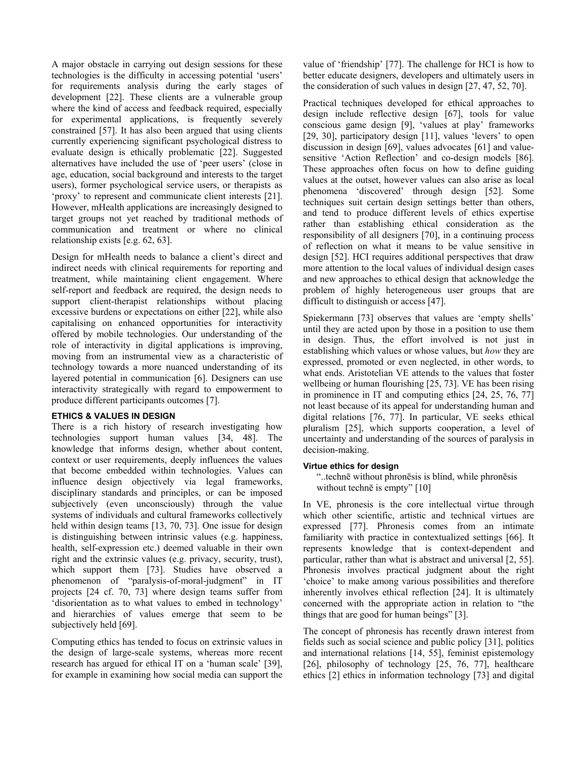A major obstacle in carrying out design sessions for these technologies is the difficulty in accessing potential 'users' for requirements analysis during the early stages of development [22]. These clients are a vulnerable group where the kind of access and feedback required, especially for experimental applications, is frequently severely constrained [57]. It has also been argued that using clients currently experiencing significant psychological distress to evaluate design is ethically problematic [22]. Suggested alternatives have included the use of 'peer users' (close in age, education, social background and interests to the target users), former psychological service users, or therapists as 'proxy' to represent and communicate client interests [21]. However, mHealth applications are increasingly designed to target groups not yet reached by traditional methods of communication and treatment or where no clinical relationship exists [e.g. 62, 63].

Design for mHealth needs to balance a client's direct and indirect needs with clinical requirements for reporting and treatment, while maintaining client engagement. Where self-report and feedback are required, the design needs to support client-therapist relationships without placing excessive burdens or expectations on either [22], while also capitalising on enhanced opportunities for interactivity offered by mobile technologies. Our understanding of the role of interactivity in digital applications is improving, moving from an instrumental view as a characteristic of technology towards a more nuanced understanding of its layered potential in communication [6]. Designers can use interactivity strategically with regard to empowerment to produce different participants outcomes [7].

## **ETHICS & VALUES IN DESIGN**

There is a rich history of research investigating how technologies support human values [34, 48]. The knowledge that informs design, whether about content, context or user requirements, deeply influences the values that become embedded within technologies. Values can influence design objectively via legal frameworks, disciplinary standards and principles, or can be imposed subjectively (even unconsciously) through the value systems of individuals and cultural frameworks collectively held within design teams [13, 70, 73]. One issue for design is distinguishing between intrinsic values (e.g. happiness, health, self-expression etc.) deemed valuable in their own right and the extrinsic values (e.g. privacy, security, trust), which support them [73]. Studies have observed a phenomenon of "paralysis-of-moral-judgment" in IT projects [24 cf. 70, 73] where design teams suffer from 'disorientation as to what values to embed in technology' and hierarchies of values emerge that seem to be subjectively held [69].

Computing ethics has tended to focus on extrinsic values in the design of large-scale systems, whereas more recent research has argued for ethical IT on a 'human scale' [39], for example in examining how social media can support the

value of 'friendship' [77]. The challenge for HCI is how to better educate designers, developers and ultimately users in the consideration of such values in design [27, 47, 52, 70].

Practical techniques developed for ethical approaches to design include reflective design [67], tools for value conscious game design [9], 'values at play' frameworks [29, 30], participatory design [11], values 'levers' to open discussion in design [69], values advocates [61] and valuesensitive 'Action Reflection' and co-design models [86]. These approaches often focus on how to define guiding values at the outset, however values can also arise as local phenomena 'discovered' through design [52]. Some techniques suit certain design settings better than others, and tend to produce different levels of ethics expertise rather than establishing ethical consideration as the responsibility of all designers [70], in a continuing process of reflection on what it means to be value sensitive in design [52]. HCI requires additional perspectives that draw more attention to the local values of individual design cases and new approaches to ethical design that acknowledge the problem of highly heterogeneous user groups that are difficult to distinguish or access [47].

Spiekermann [73] observes that values are 'empty shells' until they are acted upon by those in a position to use them in design. Thus, the effort involved is not just in establishing which values or whose values, but *how* they are expressed, promoted or even neglected, in other words, to what ends. Aristotelian VE attends to the values that foster wellbeing or human flourishing [25, 73]. VE has been rising in prominence in IT and computing ethics [24, 25, 76, 77] not least because of its appeal for understanding human and digital relations [76, 77]. In particular, VE seeks ethical pluralism [25], which supports cooperation, a level of uncertainty and understanding of the sources of paralysis in decision-making.

# **Virtue ethics for design**

"..technē without phronēsis is blind, while phronēsis without techne is empty" [10]

In VE, phronesis is the core intellectual virtue through which other scientific, artistic and technical virtues are expressed [77]. Phronesis comes from an intimate familiarity with practice in contextualized settings [66]. It represents knowledge that is context-dependent and particular, rather than what is abstract and universal [2, 55]. Phronesis involves practical judgment about the right 'choice' to make among various possibilities and therefore inherently involves ethical reflection [24]. It is ultimately concerned with the appropriate action in relation to "the things that are good for human beings" [3].

The concept of phronesis has recently drawn interest from fields such as social science and public policy [31], politics and international relations [14, 55], feminist epistemology [26], philosophy of technology [25, 76, 77], healthcare ethics [2] ethics in information technology [73] and digital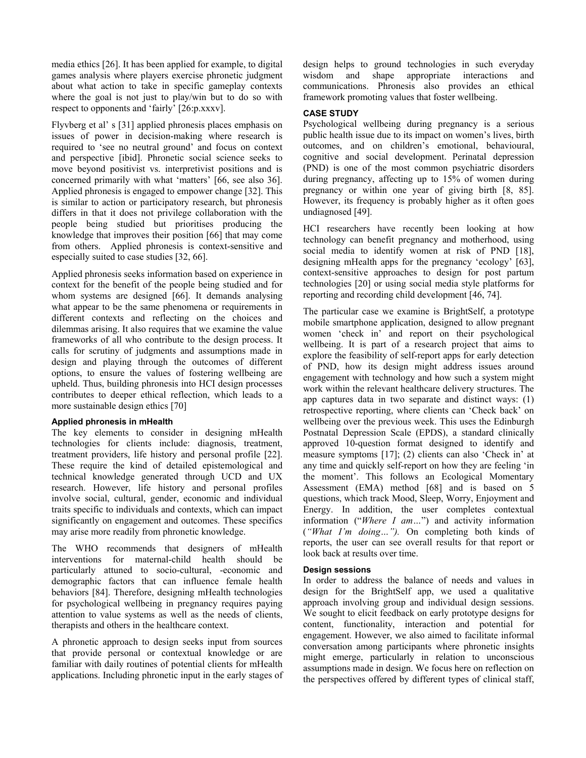media ethics [26]. It has been applied for example, to digital games analysis where players exercise phronetic judgment about what action to take in specific gameplay contexts where the goal is not just to play/win but to do so with respect to opponents and 'fairly' [26:p.xxxv].

Flyvberg et al' s [31] applied phronesis places emphasis on issues of power in decision-making where research is required to 'see no neutral ground' and focus on context and perspective [ibid]. Phronetic social science seeks to move beyond positivist vs. interpretivist positions and is concerned primarily with what 'matters' [66, see also 36]. Applied phronesis is engaged to empower change [32]. This is similar to action or participatory research, but phronesis differs in that it does not privilege collaboration with the people being studied but prioritises producing the knowledge that improves their position [66] that may come from others. Applied phronesis is context-sensitive and especially suited to case studies [32, 66].

Applied phronesis seeks information based on experience in context for the benefit of the people being studied and for whom systems are designed [66]. It demands analysing what appear to be the same phenomena or requirements in different contexts and reflecting on the choices and dilemmas arising. It also requires that we examine the value frameworks of all who contribute to the design process. It calls for scrutiny of judgments and assumptions made in design and playing through the outcomes of different options, to ensure the values of fostering wellbeing are upheld. Thus, building phronesis into HCI design processes contributes to deeper ethical reflection, which leads to a more sustainable design ethics [70]

## **Applied phronesis in mHealth**

The key elements to consider in designing mHealth technologies for clients include: diagnosis, treatment, treatment providers, life history and personal profile [22]. These require the kind of detailed epistemological and technical knowledge generated through UCD and UX research. However, life history and personal profiles involve social, cultural, gender, economic and individual traits specific to individuals and contexts, which can impact significantly on engagement and outcomes. These specifics may arise more readily from phronetic knowledge.

The WHO recommends that designers of mHealth interventions for maternal-child health should be particularly attuned to socio-cultural, -economic and demographic factors that can influence female health behaviors [84]. Therefore, designing mHealth technologies for psychological wellbeing in pregnancy requires paying attention to value systems as well as the needs of clients, therapists and others in the healthcare context.

A phronetic approach to design seeks input from sources that provide personal or contextual knowledge or are familiar with daily routines of potential clients for mHealth applications. Including phronetic input in the early stages of design helps to ground technologies in such everyday wisdom and shape appropriate interactions and communications. Phronesis also provides an ethical framework promoting values that foster wellbeing.

# **CASE STUDY**

Psychological wellbeing during pregnancy is a serious public health issue due to its impact on women's lives, birth outcomes, and on children's emotional, behavioural, cognitive and social development. Perinatal depression (PND) is one of the most common psychiatric disorders during pregnancy, affecting up to 15% of women during pregnancy or within one year of giving birth [8, 85]. However, its frequency is probably higher as it often goes undiagnosed [49].

HCI researchers have recently been looking at how technology can benefit pregnancy and motherhood, using social media to identify women at risk of PND [18], designing mHealth apps for the pregnancy 'ecology' [63], context-sensitive approaches to design for post partum technologies [20] or using social media style platforms for reporting and recording child development [46, 74].

The particular case we examine is BrightSelf, a prototype mobile smartphone application, designed to allow pregnant women 'check in' and report on their psychological wellbeing. It is part of a research project that aims to explore the feasibility of self-report apps for early detection of PND, how its design might address issues around engagement with technology and how such a system might work within the relevant healthcare delivery structures. The app captures data in two separate and distinct ways: (1) retrospective reporting, where clients can 'Check back' on wellbeing over the previous week. This uses the Edinburgh Postnatal Depression Scale (EPDS), a standard clinically approved 10-question format designed to identify and measure symptoms [17]; (2) clients can also 'Check in' at any time and quickly self-report on how they are feeling 'in the moment'. This follows an Ecological Momentary Assessment (EMA) method [68] and is based on 5 questions, which track Mood, Sleep, Worry, Enjoyment and Energy. In addition, the user completes contextual information ("*Where I am…*") and activity information (*"What I'm doing…").* On completing both kinds of reports, the user can see overall results for that report or look back at results over time.

# **Design sessions**

In order to address the balance of needs and values in design for the BrightSelf app, we used a qualitative approach involving group and individual design sessions. We sought to elicit feedback on early prototype designs for content, functionality, interaction and potential for engagement. However, we also aimed to facilitate informal conversation among participants where phronetic insights might emerge, particularly in relation to unconscious assumptions made in design. We focus here on reflection on the perspectives offered by different types of clinical staff,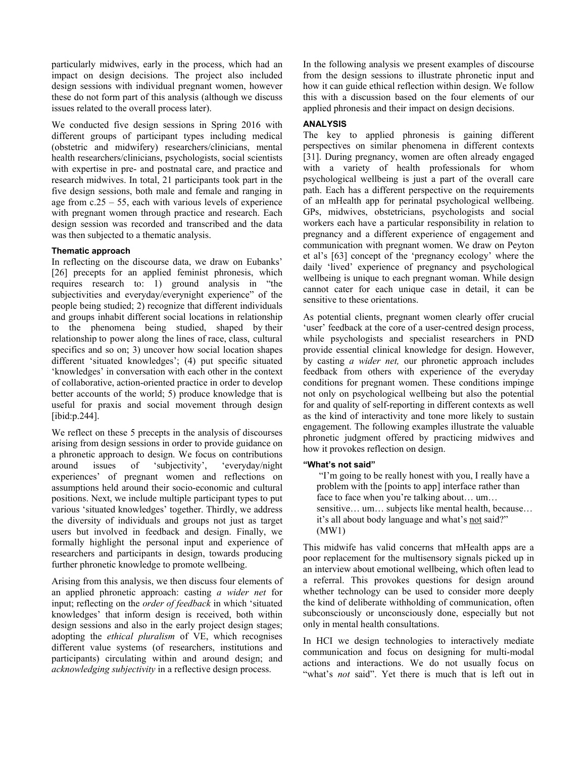particularly midwives, early in the process, which had an impact on design decisions. The project also included design sessions with individual pregnant women, however these do not form part of this analysis (although we discuss issues related to the overall process later).

We conducted five design sessions in Spring 2016 with different groups of participant types including medical (obstetric and midwifery) researchers/clinicians, mental health researchers/clinicians, psychologists, social scientists with expertise in pre- and postnatal care, and practice and research midwives. In total, 21 participants took part in the five design sessions, both male and female and ranging in age from  $c.25 - 55$ , each with various levels of experience with pregnant women through practice and research. Each design session was recorded and transcribed and the data was then subjected to a thematic analysis.

## **Thematic approach**

In reflecting on the discourse data, we draw on Eubanks' [26] precepts for an applied feminist phronesis, which requires research to: 1) ground analysis in "the subjectivities and everyday/everynight experience" of the people being studied; 2) recognize that different individuals and groups inhabit different social locations in relationship to the phenomena being studied, shaped by their relationship to power along the lines of race, class, cultural specifics and so on; 3) uncover how social location shapes different 'situated knowledges'; (4) put specific situated 'knowledges' in conversation with each other in the context of collaborative, action-oriented practice in order to develop better accounts of the world; 5) produce knowledge that is useful for praxis and social movement through design [ibid:p.244].

We reflect on these 5 precepts in the analysis of discourses arising from design sessions in order to provide guidance on a phronetic approach to design. We focus on contributions around issues of 'subjectivity', 'everyday/night experiences' of pregnant women and reflections on assumptions held around their socio-economic and cultural positions. Next, we include multiple participant types to put various 'situated knowledges' together. Thirdly, we address the diversity of individuals and groups not just as target users but involved in feedback and design. Finally, we formally highlight the personal input and experience of researchers and participants in design, towards producing further phronetic knowledge to promote wellbeing.

Arising from this analysis, we then discuss four elements of an applied phronetic approach: casting *a wider net* for input; reflecting on the *order of feedback* in which 'situated knowledges' that inform design is received, both within design sessions and also in the early project design stages; adopting the *ethical pluralism* of VE, which recognises different value systems (of researchers, institutions and participants) circulating within and around design; and *acknowledging subjectivity* in a reflective design process.

In the following analysis we present examples of discourse from the design sessions to illustrate phronetic input and how it can guide ethical reflection within design. We follow this with a discussion based on the four elements of our applied phronesis and their impact on design decisions.

#### **ANALYSIS**

The key to applied phronesis is gaining different perspectives on similar phenomena in different contexts [31]. During pregnancy, women are often already engaged with a variety of health professionals for whom psychological wellbeing is just a part of the overall care path. Each has a different perspective on the requirements of an mHealth app for perinatal psychological wellbeing. GPs, midwives, obstetricians, psychologists and social workers each have a particular responsibility in relation to pregnancy and a different experience of engagement and communication with pregnant women. We draw on Peyton et al's [63] concept of the 'pregnancy ecology' where the daily 'lived' experience of pregnancy and psychological wellbeing is unique to each pregnant woman. While design cannot cater for each unique case in detail, it can be sensitive to these orientations.

As potential clients, pregnant women clearly offer crucial 'user' feedback at the core of a user-centred design process, while psychologists and specialist researchers in PND provide essential clinical knowledge for design. However, by casting *a wider net,* our phronetic approach includes feedback from others with experience of the everyday conditions for pregnant women. These conditions impinge not only on psychological wellbeing but also the potential for and quality of self-reporting in different contexts as well as the kind of interactivity and tone more likely to sustain engagement. The following examples illustrate the valuable phronetic judgment offered by practicing midwives and how it provokes reflection on design.

#### **"What's not said"**

 "I'm going to be really honest with you, I really have a problem with the [points to app] interface rather than face to face when you're talking about… um… sensitive... um... subjects like mental health, because... it's all about body language and what's not said?" (MW1)

This midwife has valid concerns that mHealth apps are a poor replacement for the multisensory signals picked up in an interview about emotional wellbeing, which often lead to a referral. This provokes questions for design around whether technology can be used to consider more deeply the kind of deliberate withholding of communication, often subconsciously or unconsciously done, especially but not only in mental health consultations.

In HCI we design technologies to interactively mediate communication and focus on designing for multi-modal actions and interactions. We do not usually focus on "what's *not* said". Yet there is much that is left out in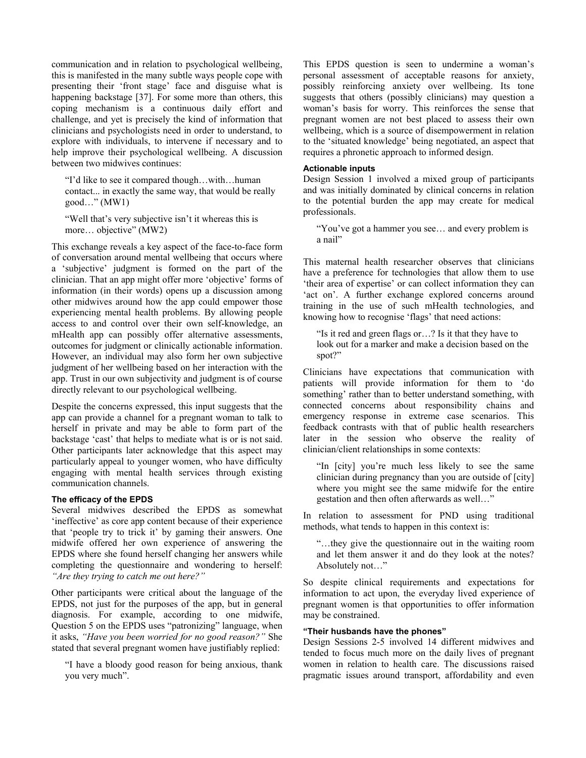communication and in relation to psychological wellbeing, this is manifested in the many subtle ways people cope with presenting their 'front stage' face and disguise what is happening backstage [37]. For some more than others, this coping mechanism is a continuous daily effort and challenge, and yet is precisely the kind of information that clinicians and psychologists need in order to understand, to explore with individuals, to intervene if necessary and to help improve their psychological wellbeing. A discussion between two midwives continues:

"I'd like to see it compared though…with…human contact... in exactly the same way, that would be really good…" (MW1)

"Well that's very subjective isn't it whereas this is more… objective" (MW2)

This exchange reveals a key aspect of the face-to-face form of conversation around mental wellbeing that occurs where a 'subjective' judgment is formed on the part of the clinician. That an app might offer more 'objective' forms of information (in their words) opens up a discussion among other midwives around how the app could empower those experiencing mental health problems. By allowing people access to and control over their own self-knowledge, an mHealth app can possibly offer alternative assessments, outcomes for judgment or clinically actionable information. However, an individual may also form her own subjective judgment of her wellbeing based on her interaction with the app. Trust in our own subjectivity and judgment is of course directly relevant to our psychological wellbeing.

Despite the concerns expressed, this input suggests that the app can provide a channel for a pregnant woman to talk to herself in private and may be able to form part of the backstage 'cast' that helps to mediate what is or is not said. Other participants later acknowledge that this aspect may particularly appeal to younger women, who have difficulty engaging with mental health services through existing communication channels.

#### **The efficacy of the EPDS**

Several midwives described the EPDS as somewhat 'ineffective' as core app content because of their experience that 'people try to trick it' by gaming their answers. One midwife offered her own experience of answering the EPDS where she found herself changing her answers while completing the questionnaire and wondering to herself: *"Are they trying to catch me out here?"*

Other participants were critical about the language of the EPDS, not just for the purposes of the app, but in general diagnosis. For example, according to one midwife, Question 5 on the EPDS uses "patronizing" language, when it asks, *"Have you been worried for no good reason?"* She stated that several pregnant women have justifiably replied:

"I have a bloody good reason for being anxious, thank you very much".

This EPDS question is seen to undermine a woman's personal assessment of acceptable reasons for anxiety, possibly reinforcing anxiety over wellbeing. Its tone suggests that others (possibly clinicians) may question a woman's basis for worry. This reinforces the sense that pregnant women are not best placed to assess their own wellbeing, which is a source of disempowerment in relation to the 'situated knowledge' being negotiated, an aspect that requires a phronetic approach to informed design.

## **Actionable inputs**

Design Session 1 involved a mixed group of participants and was initially dominated by clinical concerns in relation to the potential burden the app may create for medical professionals.

"You've got a hammer you see… and every problem is a nail"

This maternal health researcher observes that clinicians have a preference for technologies that allow them to use 'their area of expertise' or can collect information they can 'act on'. A further exchange explored concerns around training in the use of such mHealth technologies, and knowing how to recognise 'flags' that need actions:

"Is it red and green flags or…? Is it that they have to look out for a marker and make a decision based on the spot?"

Clinicians have expectations that communication with patients will provide information for them to 'do something' rather than to better understand something, with connected concerns about responsibility chains and emergency response in extreme case scenarios. This feedback contrasts with that of public health researchers later in the session who observe the reality of clinician/client relationships in some contexts:

"In [city] you're much less likely to see the same clinician during pregnancy than you are outside of [city] where you might see the same midwife for the entire gestation and then often afterwards as well…"

In relation to assessment for PND using traditional methods, what tends to happen in this context is:

"…they give the questionnaire out in the waiting room and let them answer it and do they look at the notes? Absolutely not…"

So despite clinical requirements and expectations for information to act upon, the everyday lived experience of pregnant women is that opportunities to offer information may be constrained.

## **"Their husbands have the phones"**

Design Sessions 2-5 involved 14 different midwives and tended to focus much more on the daily lives of pregnant women in relation to health care. The discussions raised pragmatic issues around transport, affordability and even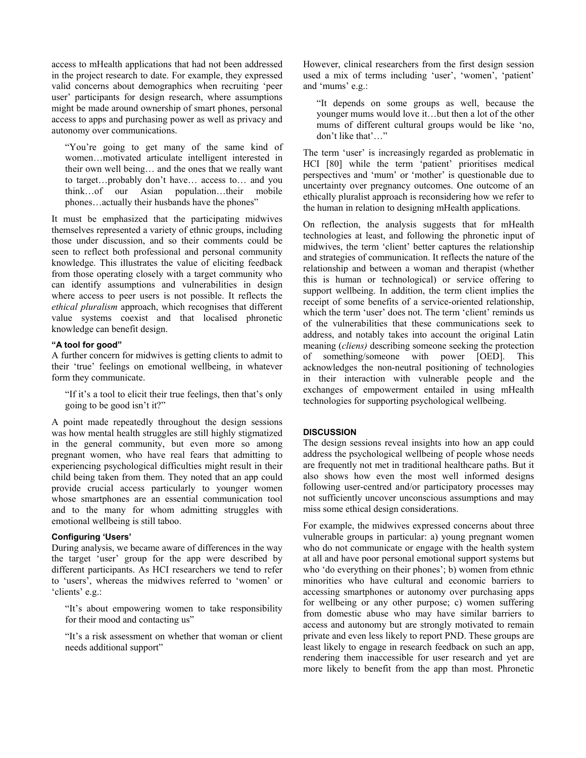access to mHealth applications that had not been addressed in the project research to date. For example, they expressed valid concerns about demographics when recruiting 'peer user' participants for design research, where assumptions might be made around ownership of smart phones, personal access to apps and purchasing power as well as privacy and autonomy over communications.

"You're going to get many of the same kind of women…motivated articulate intelligent interested in their own well being… and the ones that we really want to target…probably don't have… access to… and you think…of our Asian population…their mobile phones…actually their husbands have the phones"

It must be emphasized that the participating midwives themselves represented a variety of ethnic groups, including those under discussion, and so their comments could be seen to reflect both professional and personal community knowledge. This illustrates the value of eliciting feedback from those operating closely with a target community who can identify assumptions and vulnerabilities in design where access to peer users is not possible. It reflects the *ethical pluralism* approach, which recognises that different value systems coexist and that localised phronetic knowledge can benefit design.

## **"A tool for good"**

A further concern for midwives is getting clients to admit to their 'true' feelings on emotional wellbeing, in whatever form they communicate.

"If it's a tool to elicit their true feelings, then that's only going to be good isn't it?"

A point made repeatedly throughout the design sessions was how mental health struggles are still highly stigmatized in the general community, but even more so among pregnant women, who have real fears that admitting to experiencing psychological difficulties might result in their child being taken from them. They noted that an app could provide crucial access particularly to younger women whose smartphones are an essential communication tool and to the many for whom admitting struggles with emotional wellbeing is still taboo.

## **Configuring 'Users'**

During analysis, we became aware of differences in the way the target 'user' group for the app were described by different participants. As HCI researchers we tend to refer to 'users', whereas the midwives referred to 'women' or 'clients' e.g.:

"It's about empowering women to take responsibility for their mood and contacting us"

"It's a risk assessment on whether that woman or client needs additional support"

However, clinical researchers from the first design session used a mix of terms including 'user', 'women', 'patient' and 'mums' e.g.:

"It depends on some groups as well, because the younger mums would love it…but then a lot of the other mums of different cultural groups would be like 'no, don't like that'…"

The term 'user' is increasingly regarded as problematic in HCI [80] while the term 'patient' prioritises medical perspectives and 'mum' or 'mother' is questionable due to uncertainty over pregnancy outcomes. One outcome of an ethically pluralist approach is reconsidering how we refer to the human in relation to designing mHealth applications.

On reflection, the analysis suggests that for mHealth technologies at least, and following the phronetic input of midwives, the term 'client' better captures the relationship and strategies of communication. It reflects the nature of the relationship and between a woman and therapist (whether this is human or technological) or service offering to support wellbeing. In addition, the term client implies the receipt of some benefits of a service-oriented relationship, which the term 'user' does not. The term 'client' reminds us of the vulnerabilities that these communications seek to address, and notably takes into account the original Latin meaning (*cliens)* describing someone seeking the protection of something/someone with power [OED]. This acknowledges the non-neutral positioning of technologies in their interaction with vulnerable people and the exchanges of empowerment entailed in using mHealth technologies for supporting psychological wellbeing.

## **DISCUSSION**

The design sessions reveal insights into how an app could address the psychological wellbeing of people whose needs are frequently not met in traditional healthcare paths. But it also shows how even the most well informed designs following user-centred and/or participatory processes may not sufficiently uncover unconscious assumptions and may miss some ethical design considerations.

For example, the midwives expressed concerns about three vulnerable groups in particular: a) young pregnant women who do not communicate or engage with the health system at all and have poor personal emotional support systems but who 'do everything on their phones'; b) women from ethnic minorities who have cultural and economic barriers to accessing smartphones or autonomy over purchasing apps for wellbeing or any other purpose; c) women suffering from domestic abuse who may have similar barriers to access and autonomy but are strongly motivated to remain private and even less likely to report PND. These groups are least likely to engage in research feedback on such an app, rendering them inaccessible for user research and yet are more likely to benefit from the app than most. Phronetic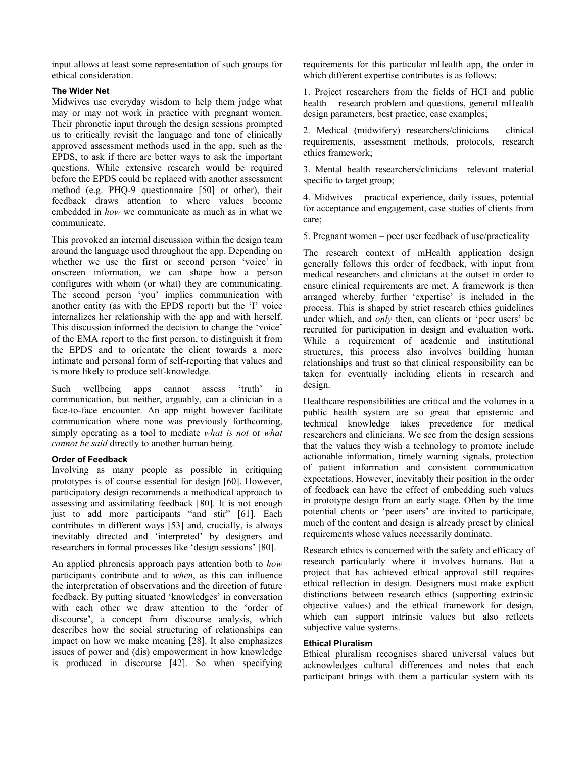input allows at least some representation of such groups for ethical consideration.

## **The Wider Net**

Midwives use everyday wisdom to help them judge what may or may not work in practice with pregnant women. Their phronetic input through the design sessions prompted us to critically revisit the language and tone of clinically approved assessment methods used in the app, such as the EPDS, to ask if there are better ways to ask the important questions. While extensive research would be required before the EPDS could be replaced with another assessment method (e.g. PHQ-9 questionnaire [50] or other), their feedback draws attention to where values become embedded in *how* we communicate as much as in what we communicate.

This provoked an internal discussion within the design team around the language used throughout the app. Depending on whether we use the first or second person 'voice' in onscreen information, we can shape how a person configures with whom (or what) they are communicating. The second person 'you' implies communication with another entity (as with the EPDS report) but the 'I' voice internalizes her relationship with the app and with herself. This discussion informed the decision to change the 'voice' of the EMA report to the first person, to distinguish it from the EPDS and to orientate the client towards a more intimate and personal form of self-reporting that values and is more likely to produce self-knowledge.

Such wellbeing apps cannot assess 'truth' in communication, but neither, arguably, can a clinician in a face-to-face encounter. An app might however facilitate communication where none was previously forthcoming, simply operating as a tool to mediate *what is not* or *what cannot be said* directly to another human being.

## **Order of Feedback**

Involving as many people as possible in critiquing prototypes is of course essential for design [60]. However, participatory design recommends a methodical approach to assessing and assimilating feedback [80]. It is not enough just to add more participants "and stir" [61]. Each contributes in different ways [53] and, crucially, is always inevitably directed and 'interpreted' by designers and researchers in formal processes like 'design sessions' [80].

An applied phronesis approach pays attention both to *how* participants contribute and to *when*, as this can influence the interpretation of observations and the direction of future feedback. By putting situated 'knowledges' in conversation with each other we draw attention to the 'order of discourse', a concept from discourse analysis, which describes how the social structuring of relationships can impact on how we make meaning [28]. It also emphasizes issues of power and (dis) empowerment in how knowledge is produced in discourse [42]. So when specifying

requirements for this particular mHealth app, the order in which different expertise contributes is as follows:

1. Project researchers from the fields of HCI and public health – research problem and questions, general mHealth design parameters, best practice, case examples;

2. Medical (midwifery) researchers/clinicians – clinical requirements, assessment methods, protocols, research ethics framework;

3. Mental health researchers/clinicians –relevant material specific to target group;

4. Midwives – practical experience, daily issues, potential for acceptance and engagement, case studies of clients from care;

5. Pregnant women – peer user feedback of use/practicality

The research context of mHealth application design generally follows this order of feedback, with input from medical researchers and clinicians at the outset in order to ensure clinical requirements are met. A framework is then arranged whereby further 'expertise' is included in the process. This is shaped by strict research ethics guidelines under which, and *only* then, can clients or 'peer users' be recruited for participation in design and evaluation work. While a requirement of academic and institutional structures, this process also involves building human relationships and trust so that clinical responsibility can be taken for eventually including clients in research and design.

Healthcare responsibilities are critical and the volumes in a public health system are so great that epistemic and technical knowledge takes precedence for medical researchers and clinicians. We see from the design sessions that the values they wish a technology to promote include actionable information, timely warning signals, protection of patient information and consistent communication expectations. However, inevitably their position in the order of feedback can have the effect of embedding such values in prototype design from an early stage. Often by the time potential clients or 'peer users' are invited to participate, much of the content and design is already preset by clinical requirements whose values necessarily dominate.

Research ethics is concerned with the safety and efficacy of research particularly where it involves humans. But a project that has achieved ethical approval still requires ethical reflection in design. Designers must make explicit distinctions between research ethics (supporting extrinsic objective values) and the ethical framework for design, which can support intrinsic values but also reflects subjective value systems.

# **Ethical Pluralism**

Ethical pluralism recognises shared universal values but acknowledges cultural differences and notes that each participant brings with them a particular system with its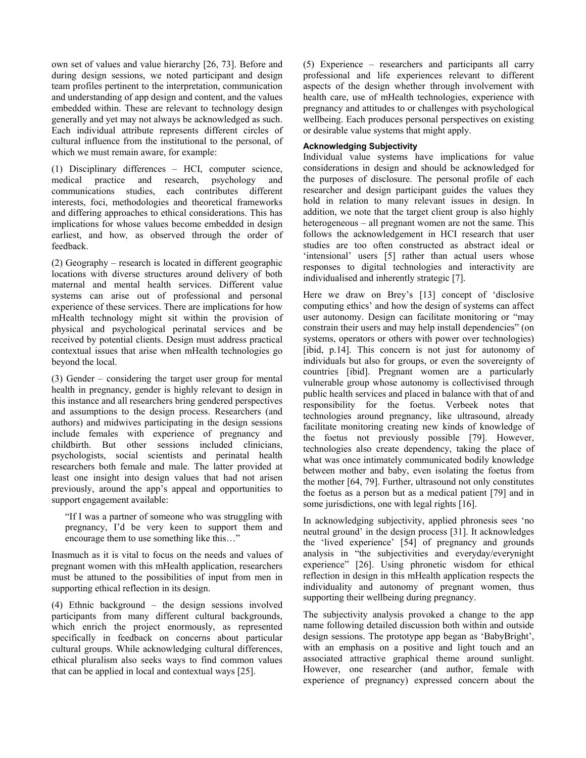own set of values and value hierarchy [26, 73]. Before and during design sessions, we noted participant and design team profiles pertinent to the interpretation, communication and understanding of app design and content, and the values embedded within. These are relevant to technology design generally and yet may not always be acknowledged as such. Each individual attribute represents different circles of cultural influence from the institutional to the personal, of which we must remain aware, for example:

(1) Disciplinary differences – HCI, computer science, medical practice and research, psychology and communications studies, each contributes different interests, foci, methodologies and theoretical frameworks and differing approaches to ethical considerations. This has implications for whose values become embedded in design earliest, and how*,* as observed through the order of feedback.

(2) Geography – research is located in different geographic locations with diverse structures around delivery of both maternal and mental health services. Different value systems can arise out of professional and personal experience of these services. There are implications for how mHealth technology might sit within the provision of physical and psychological perinatal services and be received by potential clients. Design must address practical contextual issues that arise when mHealth technologies go beyond the local.

(3) Gender – considering the target user group for mental health in pregnancy, gender is highly relevant to design in this instance and all researchers bring gendered perspectives and assumptions to the design process. Researchers (and authors) and midwives participating in the design sessions include females with experience of pregnancy and childbirth. But other sessions included clinicians, psychologists, social scientists and perinatal health researchers both female and male. The latter provided at least one insight into design values that had not arisen previously, around the app's appeal and opportunities to support engagement available:

"If I was a partner of someone who was struggling with pregnancy, I'd be very keen to support them and encourage them to use something like this…"

Inasmuch as it is vital to focus on the needs and values of pregnant women with this mHealth application, researchers must be attuned to the possibilities of input from men in supporting ethical reflection in its design.

(4) Ethnic background – the design sessions involved participants from many different cultural backgrounds, which enrich the project enormously, as represented specifically in feedback on concerns about particular cultural groups. While acknowledging cultural differences, ethical pluralism also seeks ways to find common values that can be applied in local and contextual ways [25].

(5) Experience – researchers and participants all carry professional and life experiences relevant to different aspects of the design whether through involvement with health care, use of mHealth technologies, experience with pregnancy and attitudes to or challenges with psychological wellbeing. Each produces personal perspectives on existing or desirable value systems that might apply.

## **Acknowledging Subjectivity**

Individual value systems have implications for value considerations in design and should be acknowledged for the purposes of disclosure. The personal profile of each researcher and design participant guides the values they hold in relation to many relevant issues in design. In addition, we note that the target client group is also highly heterogeneous – all pregnant women are not the same. This follows the acknowledgement in HCI research that user studies are too often constructed as abstract ideal or 'intensional' users [5] rather than actual users whose responses to digital technologies and interactivity are individualised and inherently strategic [7].

Here we draw on Brey's [13] concept of 'disclosive computing ethics' and how the design of systems can affect user autonomy. Design can facilitate monitoring or "may constrain their users and may help install dependencies" (on systems, operators or others with power over technologies) [ibid, p.14]. This concern is not just for autonomy of individuals but also for groups, or even the sovereignty of countries [ibid]. Pregnant women are a particularly vulnerable group whose autonomy is collectivised through public health services and placed in balance with that of and responsibility for the foetus. Verbeek notes that technologies around pregnancy, like ultrasound, already facilitate monitoring creating new kinds of knowledge of the foetus not previously possible [79]. However, technologies also create dependency, taking the place of what was once intimately communicated bodily knowledge between mother and baby, even isolating the foetus from the mother [64, 79]. Further, ultrasound not only constitutes the foetus as a person but as a medical patient [79] and in some jurisdictions, one with legal rights [16].

In acknowledging subjectivity, applied phronesis sees 'no neutral ground' in the design process [31]. It acknowledges the 'lived experience' [54] of pregnancy and grounds analysis in "the subjectivities and everyday/everynight experience" [26]. Using phronetic wisdom for ethical reflection in design in this mHealth application respects the individuality and autonomy of pregnant women, thus supporting their wellbeing during pregnancy.

The subjectivity analysis provoked a change to the app name following detailed discussion both within and outside design sessions. The prototype app began as 'BabyBright', with an emphasis on a positive and light touch and an associated attractive graphical theme around sunlight. However, one researcher (and author, female with experience of pregnancy) expressed concern about the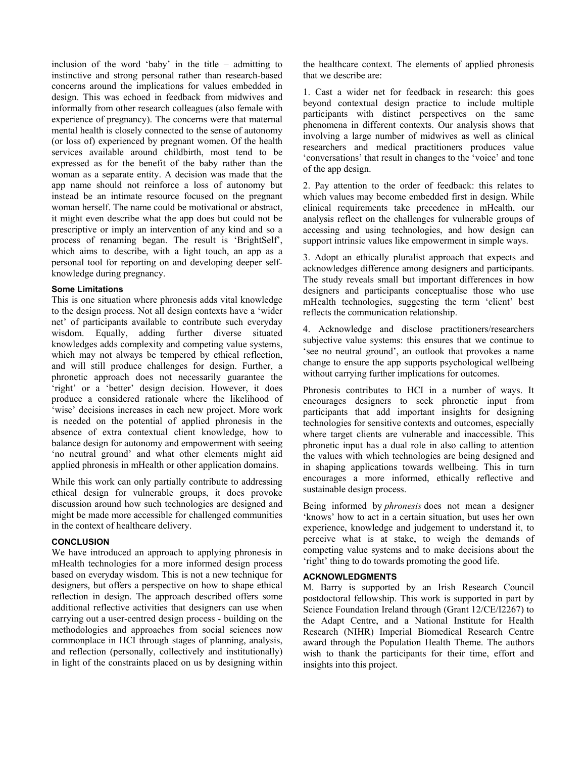inclusion of the word 'baby' in the title – admitting to instinctive and strong personal rather than research-based concerns around the implications for values embedded in design. This was echoed in feedback from midwives and informally from other research colleagues (also female with experience of pregnancy). The concerns were that maternal mental health is closely connected to the sense of autonomy (or loss of) experienced by pregnant women. Of the health services available around childbirth, most tend to be expressed as for the benefit of the baby rather than the woman as a separate entity. A decision was made that the app name should not reinforce a loss of autonomy but instead be an intimate resource focused on the pregnant woman herself. The name could be motivational or abstract, it might even describe what the app does but could not be prescriptive or imply an intervention of any kind and so a process of renaming began. The result is 'BrightSelf', which aims to describe, with a light touch, an app as a personal tool for reporting on and developing deeper selfknowledge during pregnancy.

## **Some Limitations**

This is one situation where phronesis adds vital knowledge to the design process. Not all design contexts have a 'wider net' of participants available to contribute such everyday wisdom. Equally, adding further diverse situated knowledges adds complexity and competing value systems, which may not always be tempered by ethical reflection, and will still produce challenges for design. Further, a phronetic approach does not necessarily guarantee the 'right' or a 'better' design decision. However, it does produce a considered rationale where the likelihood of 'wise' decisions increases in each new project. More work is needed on the potential of applied phronesis in the absence of extra contextual client knowledge, how to balance design for autonomy and empowerment with seeing 'no neutral ground' and what other elements might aid applied phronesis in mHealth or other application domains.

While this work can only partially contribute to addressing ethical design for vulnerable groups, it does provoke discussion around how such technologies are designed and might be made more accessible for challenged communities in the context of healthcare delivery.

## **CONCLUSION**

We have introduced an approach to applying phronesis in mHealth technologies for a more informed design process based on everyday wisdom. This is not a new technique for designers, but offers a perspective on how to shape ethical reflection in design. The approach described offers some additional reflective activities that designers can use when carrying out a user-centred design process - building on the methodologies and approaches from social sciences now commonplace in HCI through stages of planning, analysis, and reflection (personally, collectively and institutionally) in light of the constraints placed on us by designing within

the healthcare context. The elements of applied phronesis that we describe are:

1. Cast a wider net for feedback in research: this goes beyond contextual design practice to include multiple participants with distinct perspectives on the same phenomena in different contexts. Our analysis shows that involving a large number of midwives as well as clinical researchers and medical practitioners produces value 'conversations' that result in changes to the 'voice' and tone of the app design.

2. Pay attention to the order of feedback: this relates to which values may become embedded first in design. While clinical requirements take precedence in mHealth, our analysis reflect on the challenges for vulnerable groups of accessing and using technologies, and how design can support intrinsic values like empowerment in simple ways.

3. Adopt an ethically pluralist approach that expects and acknowledges difference among designers and participants. The study reveals small but important differences in how designers and participants conceptualise those who use mHealth technologies, suggesting the term 'client' best reflects the communication relationship.

4. Acknowledge and disclose practitioners/researchers subjective value systems: this ensures that we continue to 'see no neutral ground', an outlook that provokes a name change to ensure the app supports psychological wellbeing without carrying further implications for outcomes.

Phronesis contributes to HCI in a number of ways. It encourages designers to seek phronetic input from participants that add important insights for designing technologies for sensitive contexts and outcomes, especially where target clients are vulnerable and inaccessible. This phronetic input has a dual role in also calling to attention the values with which technologies are being designed and in shaping applications towards wellbeing. This in turn encourages a more informed, ethically reflective and sustainable design process.

Being informed by *phronesis* does not mean a designer 'knows' how to act in a certain situation, but uses her own experience, knowledge and judgement to understand it, to perceive what is at stake, to weigh the demands of competing value systems and to make decisions about the 'right' thing to do towards promoting the good life.

## **ACKNOWLEDGMENTS**

M. Barry is supported by an Irish Research Council postdoctoral fellowship. This work is supported in part by Science Foundation Ireland through (Grant 12/CE/I2267) to the Adapt Centre, and a National Institute for Health Research (NIHR) Imperial Biomedical Research Centre award through the Population Health Theme. The authors wish to thank the participants for their time, effort and insights into this project.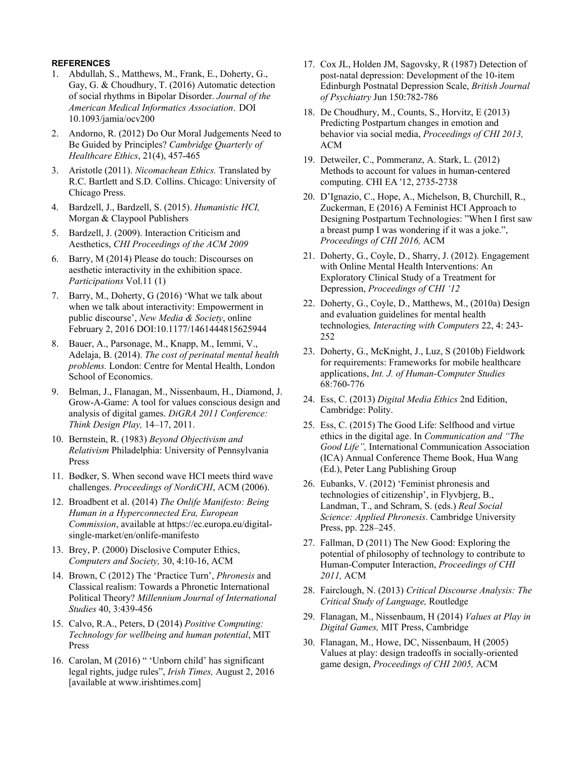## **REFERENCES**

- 1. Abdullah, S., Matthews, M., Frank, E., Doherty, G., Gay, G. & Choudhury, T. (2016) Automatic detection of social rhythms in Bipolar Disorder. *Journal of the American Medical Informatics Association*. DOI 10.1093/jamia/ocv200
- 2. Andorno, R. (2012) Do Our Moral Judgements Need to Be Guided by Principles? *Cambridge Quarterly of Healthcare Ethics*, 21(4), 457-465
- 3. Aristotle (2011). *Nicomachean Ethics.* Translated by R.C. Bartlett and S.D. Collins. Chicago: University of Chicago Press.
- 4. Bardzell, J., Bardzell, S. (2015). *Humanistic HCI,* Morgan & Claypool Publishers
- 5. Bardzell, J. (2009). Interaction Criticism and Aesthetics, *CHI Proceedings of the ACM 2009*
- 6. Barry, M (2014) Please do touch: Discourses on aesthetic interactivity in the exhibition space. *Participations* Vol.11 (1)
- 7. Barry, M., Doherty, G (2016) 'What we talk about when we talk about interactivity: Empowerment in public discourse', *New Media & Society*, online February 2, 2016 DOI:10.1177/1461444815625944
- 8. Bauer, A., Parsonage, M., Knapp, M., Iemmi, V., Adelaja, B. (2014). *The cost of perinatal mental health problems.* London: Centre for Mental Health, London School of Economics.
- 9. Belman, J., Flanagan, M., Nissenbaum, H., Diamond, J. Grow-A-Game: A tool for values conscious design and analysis of digital games. *DiGRA 2011 Conference: Think Design Play,* 14–17, 2011.
- 10. Bernstein, R. (1983) *Beyond Objectivism and Relativism* Philadelphia: University of Pennsylvania Press
- 11. Bødker, S. When second wave HCI meets third wave challenges. *Proceedings of NordiCHI*, ACM (2006).
- 12. Broadbent et al. (2014) *The Onlife Manifesto: Being Human in a Hyperconnected Era, European Commission*, available at https://ec.europa.eu/digitalsingle-market/en/onlife-manifesto
- 13. Brey, P. (2000) Disclosive Computer Ethics, *Computers and Society,* 30, 4:10-16, ACM
- 14. Brown, C (2012) The 'Practice Turn', *Phronesis* and Classical realism: Towards a Phronetic International Political Theory? *Millennium Journal of International Studies* 40, 3:439-456
- 15. Calvo, R.A., Peters, D (2014) *Positive Computing: Technology for wellbeing and human potential*, MIT Press
- 16. Carolan, M (2016) " 'Unborn child' has significant legal rights, judge rules", *Irish Times,* August 2, 2016 [available at www.irishtimes.com]
- 17. Cox JL, Holden JM, Sagovsky, R (1987) Detection of post-natal depression: Development of the 10-item Edinburgh Postnatal Depression Scale, *British Journal of Psychiatry* Jun 150:782-786
- 18. De Choudhury, M., Counts, S., Horvitz, E (2013) Predicting Postpartum changes in emotion and behavior via social media, *Proceedings of CHI 2013,*  ACM
- 19. Detweiler, C., Pommeranz, A. Stark, L. (2012) Methods to account for values in human-centered computing. CHI EA '12, 2735-2738
- 20. D'Ignazio, C., Hope, A., Michelson, B, Churchill, R., Zuckerman, E (2016) A Feminist HCI Approach to Designing Postpartum Technologies: "When I first saw a breast pump I was wondering if it was a joke.", *Proceedings of CHI 2016,* ACM
- 21. Doherty, G., Coyle, D., Sharry, J. (2012). Engagement with Online Mental Health Interventions: An Exploratory Clinical Study of a Treatment for Depression, *Proceedings of CHI '12*
- 22. Doherty, G., Coyle, D., Matthews, M., (2010a) Design and evaluation guidelines for mental health technologies*, Interacting with Computers* 22, 4: 243- 252
- 23. Doherty, G., McKnight, J., Luz, S (2010b) Fieldwork for requirements: Frameworks for mobile healthcare applications, *Int. J. of Human-Computer Studies*  68:760-776
- 24. Ess, C. (2013) *Digital Media Ethics* 2nd Edition, Cambridge: Polity.
- 25. Ess, C. (2015) The Good Life: Selfhood and virtue ethics in the digital age. In *Communication and "The Good Life",* International Communication Association (ICA) Annual Conference Theme Book, Hua Wang (Ed.), Peter Lang Publishing Group
- 26. Eubanks, V. (2012) 'Feminist phronesis and technologies of citizenship', in Flyvbjerg, B., Landman, T., and Schram, S. (eds.) *Real Social Science: Applied Phronesis*. Cambridge University Press, pp. 228–245.
- 27. Fallman, D (2011) The New Good: Exploring the potential of philosophy of technology to contribute to Human-Computer Interaction, *Proceedings of CHI 2011,* ACM
- 28. Fairclough, N. (2013) *Critical Discourse Analysis: The Critical Study of Language,* Routledge
- 29. Flanagan, M., Nissenbaum, H (2014) *Values at Play in Digital Games,* MIT Press, Cambridge
- 30. Flanagan, M., Howe, DC, Nissenbaum, H (2005) Values at play: design tradeoffs in socially-oriented game design, *Proceedings of CHI 2005,* ACM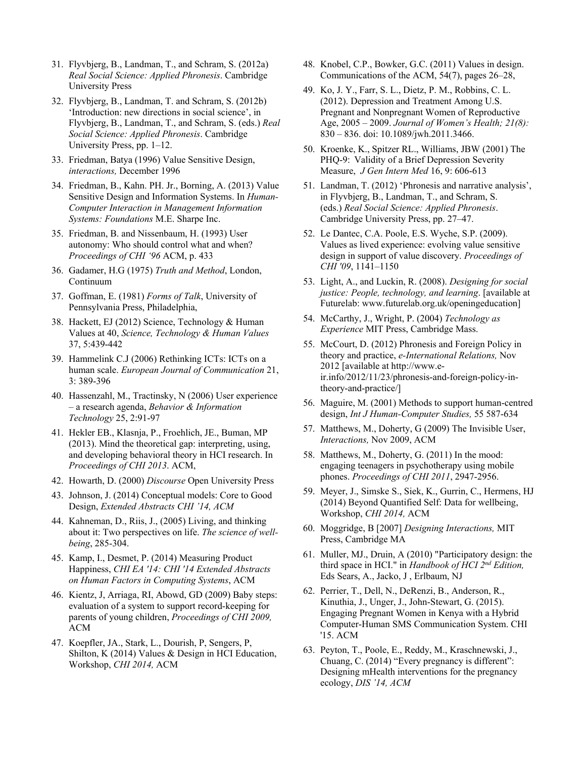- 31. Flyvbjerg, B., Landman, T., and Schram, S. (2012a) *Real Social Science: Applied Phronesis*. Cambridge University Press
- 32. Flyvbjerg, B., Landman, T. and Schram, S. (2012b) 'Introduction: new directions in social science', in Flyvbjerg, B., Landman, T., and Schram, S. (eds.) *Real Social Science: Applied Phronesis*. Cambridge University Press, pp. 1–12.
- 33. Friedman, Batya (1996) Value Sensitive Design, *interactions,* December 1996
- 34. Friedman, B., Kahn. PH. Jr., Borning, A. (2013) Value Sensitive Design and Information Systems. In *Human-Computer Interaction in Management Information Systems: Foundations* M.E. Sharpe Inc.
- 35. Friedman, B. and Nissenbaum, H. (1993) User autonomy: Who should control what and when? *Proceedings of CHI '96* ACM, p. 433
- 36. Gadamer, H.G (1975) *Truth and Method*, London, Continuum
- 37. Goffman, E. (1981) *Forms of Talk*, University of Pennsylvania Press, Philadelphia,
- 38. Hackett, EJ (2012) Science, Technology & Human Values at 40, *Science, Technology & Human Values*  37, 5:439-442
- 39. Hammelink C.J (2006) Rethinking ICTs: ICTs on a human scale. *European Journal of Communication* 21, 3: 389-396
- 40. Hassenzahl, M., Tractinsky, N (2006) User experience – a research agenda, *Behavior & Information Technology* 25, 2:91-97
- 41. Hekler EB., Klasnja, P., Froehlich, JE., Buman, MP (2013). Mind the theoretical gap: interpreting, using, and developing behavioral theory in HCI research. In *Proceedings of CHI 2013*. ACM,
- 42. Howarth, D. (2000) *Discourse* Open University Press
- 43. Johnson, J. (2014) Conceptual models: Core to Good Design, *Extended Abstracts CHI '14, ACM*
- 44. Kahneman, D., Riis, J., (2005) Living, and thinking about it: Two perspectives on life. *The science of wellbeing*, 285-304.
- 45. Kamp, I., Desmet, P. (2014) Measuring Product Happiness, *CHI EA '14: CHI '14 Extended Abstracts on Human Factors in Computing Systems*, ACM
- 46. Kientz, J, Arriaga, RI, Abowd, GD (2009) Baby steps: evaluation of a system to support record-keeping for parents of young children, *Proceedings of CHI 2009,*  ACM
- 47. Koepfler, JA., Stark, L., Dourish, P, Sengers, P, Shilton, K (2014) Values & Design in HCI Education, Workshop, *CHI 2014,* ACM
- 48. Knobel, C.P., Bowker, G.C. (2011) Values in design. Communications of the ACM, 54(7), pages 26–28,
- 49. Ko, J. Y., Farr, S. L., Dietz, P. M., Robbins, C. L. (2012). Depression and Treatment Among U.S. Pregnant and Nonpregnant Women of Reproductive Age, 2005 – 2009. *Journal of Women's Health; 21(8):*  830 – 836. doi: 10.1089/jwh.2011.3466.
- 50. Kroenke, K., Spitzer RL., Williams, JBW (2001) The PHQ-9: Validity of a Brief Depression Severity Measure, *J Gen Intern Med* 16, 9: 606-613
- 51. Landman, T. (2012) 'Phronesis and narrative analysis', in Flyvbjerg, B., Landman, T., and Schram, S. (eds.) *Real Social Science: Applied Phronesis*. Cambridge University Press, pp. 27–47.
- 52. Le Dantec, C.A. Poole, E.S. Wyche, S.P. (2009). Values as lived experience: evolving value sensitive design in support of value discovery. *Proceedings of CHI '09*, 1141–1150
- 53. Light, A., and Luckin, R. (2008). *Designing for social justice: People, technology, and learning*. [available at Futurelab: www.futurelab.org.uk/openingeducation]
- 54. McCarthy, J., Wright, P. (2004) *Technology as Experience* MIT Press, Cambridge Mass.
- 55. McCourt, D. (2012) Phronesis and Foreign Policy in theory and practice, *e-International Relations,* Nov 2012 [available at http://www.eir.info/2012/11/23/phronesis-and-foreign-policy-intheory-and-practice/]
- 56. Maguire, M. (2001) Methods to support human-centred design, *Int J Human-Computer Studies,* 55 587-634
- 57. Matthews, M., Doherty, G (2009) The Invisible User, *Interactions,* Nov 2009, ACM
- 58. Matthews, M., Doherty, G. (2011) In the mood: engaging teenagers in psychotherapy using mobile phones. *Proceedings of CHI 2011*, 2947-2956.
- 59. Meyer, J., Simske S., Siek, K., Gurrin, C., Hermens, HJ (2014) Beyond Quantified Self: Data for wellbeing, Workshop, *CHI 2014,* ACM
- 60. Moggridge, B [2007] *Designing Interactions,* MIT Press, Cambridge MA
- 61. Muller, MJ., Druin, A (2010) "Participatory design: the third space in HCI." in *Handbook of HCI 2nd Edition,*  Eds Sears, A., Jacko, J , Erlbaum, NJ
- 62. Perrier, T., Dell, N., DeRenzi, B., Anderson, R., Kinuthia, J., Unger, J., John-Stewart, G. (2015). Engaging Pregnant Women in Kenya with a Hybrid Computer-Human SMS Communication System. CHI '15. ACM
- 63. Peyton, T., Poole, E., Reddy, M., Kraschnewski, J., Chuang, C. (2014) "Every pregnancy is different": Designing mHealth interventions for the pregnancy ecology, *DIS '14, ACM*